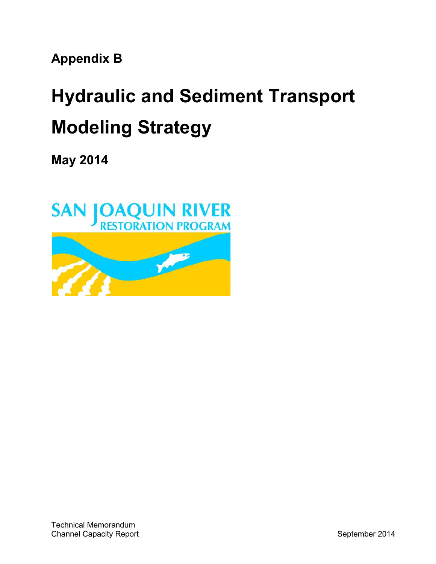**Appendix B**

# **Hydraulic and Sediment Transport Modeling Strategy**

**May 2014**

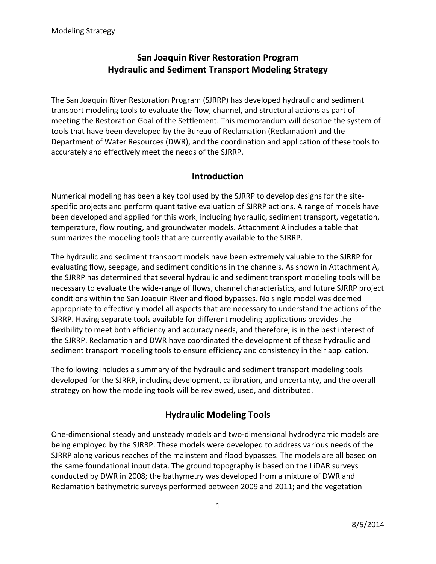# **San Joaquin River Restoration Program Hydraulic and Sediment Transport Modeling Strategy**

The San Joaquin River Restoration Program (SJRRP) has developed hydraulic and sediment transport modeling tools to evaluate the flow, channel, and structural actions as part of meeting the Restoration Goal of the Settlement. This memorandum will describe the system of tools that have been developed by the Bureau of Reclamation (Reclamation) and the Department of Water Resources (DWR), and the coordination and application of these tools to accurately and effectively meet the needs of the SJRRP.

## **Introduction**

Numerical modeling has been a key tool used by the SJRRP to develop designs for the site‐ specific projects and perform quantitative evaluation of SJRRP actions. A range of models have been developed and applied for this work, including hydraulic, sediment transport, vegetation, temperature, flow routing, and groundwater models. Attachment A includes a table that summarizes the modeling tools that are currently available to the SJRRP.

The hydraulic and sediment transport models have been extremely valuable to the SJRRP for evaluating flow, seepage, and sediment conditions in the channels. As shown in Attachment A, the SJRRP has determined that several hydraulic and sediment transport modeling tools will be necessary to evaluate the wide‐range of flows, channel characteristics, and future SJRRP project conditions within the San Joaquin River and flood bypasses. No single model was deemed appropriate to effectively model all aspects that are necessary to understand the actions of the SJRRP. Having separate tools available for different modeling applications provides the flexibility to meet both efficiency and accuracy needs, and therefore, is in the best interest of the SJRRP. Reclamation and DWR have coordinated the development of these hydraulic and sediment transport modeling tools to ensure efficiency and consistency in their application.

The following includes a summary of the hydraulic and sediment transport modeling tools developed for the SJRRP, including development, calibration, and uncertainty, and the overall strategy on how the modeling tools will be reviewed, used, and distributed.

# **Hydraulic Modeling Tools**

One‐dimensional steady and unsteady models and two‐dimensional hydrodynamic models are being employed by the SJRRP. These models were developed to address various needs of the SJRRP along various reaches of the mainstem and flood bypasses. The models are all based on the same foundational input data. The ground topography is based on the LiDAR surveys conducted by DWR in 2008; the bathymetry was developed from a mixture of DWR and Reclamation bathymetric surveys performed between 2009 and 2011; and the vegetation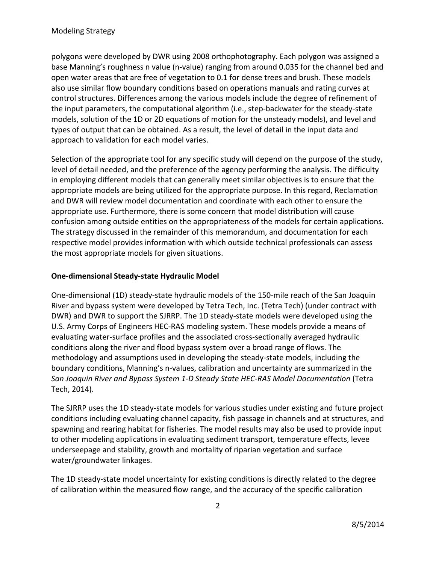polygons were developed by DWR using 2008 orthophotography. Each polygon was assigned a base Manning's roughness n value (n‐value) ranging from around 0.035 for the channel bed and open water areas that are free of vegetation to 0.1 for dense trees and brush. These models also use similar flow boundary conditions based on operations manuals and rating curves at control structures. Differences among the various models include the degree of refinement of the input parameters, the computational algorithm (i.e., step‐backwater for the steady‐state models, solution of the 1D or 2D equations of motion for the unsteady models), and level and types of output that can be obtained. As a result, the level of detail in the input data and approach to validation for each model varies.

Selection of the appropriate tool for any specific study will depend on the purpose of the study, level of detail needed, and the preference of the agency performing the analysis. The difficulty in employing different models that can generally meet similar objectives is to ensure that the appropriate models are being utilized for the appropriate purpose. In this regard, Reclamation and DWR will review model documentation and coordinate with each other to ensure the appropriate use. Furthermore, there is some concern that model distribution will cause confusion among outside entities on the appropriateness of the models for certain applications. The strategy discussed in the remainder of this memorandum, and documentation for each respective model provides information with which outside technical professionals can assess the most appropriate models for given situations.

#### **One‐dimensional Steady‐state Hydraulic Model**

One‐dimensional (1D) steady‐state hydraulic models of the 150‐mile reach of the San Joaquin River and bypass system were developed by Tetra Tech, Inc. (Tetra Tech) (under contract with DWR) and DWR to support the SJRRP. The 1D steady‐state models were developed using the U.S. Army Corps of Engineers HEC‐RAS modeling system. These models provide a means of evaluating water-surface profiles and the associated cross-sectionally averaged hydraulic conditions along the river and flood bypass system over a broad range of flows. The methodology and assumptions used in developing the steady‐state models, including the boundary conditions, Manning's n‐values, calibration and uncertainty are summarized in the *San Joaquin River and Bypass System 1‐D Steady State HEC‐RAS Model Documentation* (Tetra Tech, 2014).

The SJRRP uses the 1D steady‐state models for various studies under existing and future project conditions including evaluating channel capacity, fish passage in channels and at structures, and spawning and rearing habitat for fisheries. The model results may also be used to provide input to other modeling applications in evaluating sediment transport, temperature effects, levee underseepage and stability, growth and mortality of riparian vegetation and surface water/groundwater linkages.

The 1D steady‐state model uncertainty for existing conditions is directly related to the degree of calibration within the measured flow range, and the accuracy of the specific calibration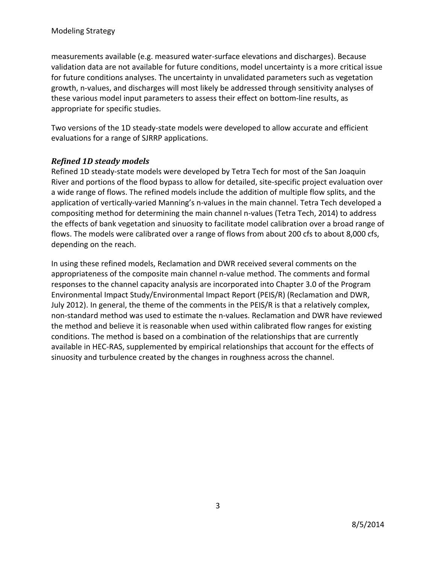measurements available (e.g. measured water‐surface elevations and discharges). Because validation data are not available for future conditions, model uncertainty is a more critical issue for future conditions analyses. The uncertainty in unvalidated parameters such as vegetation growth, n‐values, and discharges will most likely be addressed through sensitivity analyses of these various model input parameters to assess their effect on bottom‐line results, as appropriate for specific studies.

Two versions of the 1D steady‐state models were developed to allow accurate and efficient evaluations for a range of SJRRP applications.

#### *Refined 1D steady models*

Refined 1D steady‐state models were developed by Tetra Tech for most of the San Joaquin River and portions of the flood bypass to allow for detailed, site‐specific project evaluation over a wide range of flows. The refined models include the addition of multiple flow splits, and the application of vertically-varied Manning's n-values in the main channel. Tetra Tech developed a compositing method for determining the main channel n‐values (Tetra Tech, 2014) to address the effects of bank vegetation and sinuosity to facilitate model calibration over a broad range of flows. The models were calibrated over a range of flows from about 200 cfs to about 8,000 cfs, depending on the reach.

In using these refined models, Reclamation and DWR received several comments on the appropriateness of the composite main channel n-value method. The comments and formal responses to the channel capacity analysis are incorporated into Chapter 3.0 of the Program Environmental Impact Study/Environmental Impact Report (PEIS/R) (Reclamation and DWR, July 2012). In general, the theme of the comments in the PEIS/R is that a relatively complex, non‐standard method was used to estimate the n‐values. Reclamation and DWR have reviewed the method and believe it is reasonable when used within calibrated flow ranges for existing conditions. The method is based on a combination of the relationships that are currently available in HEC‐RAS, supplemented by empirical relationships that account for the effects of sinuosity and turbulence created by the changes in roughness across the channel.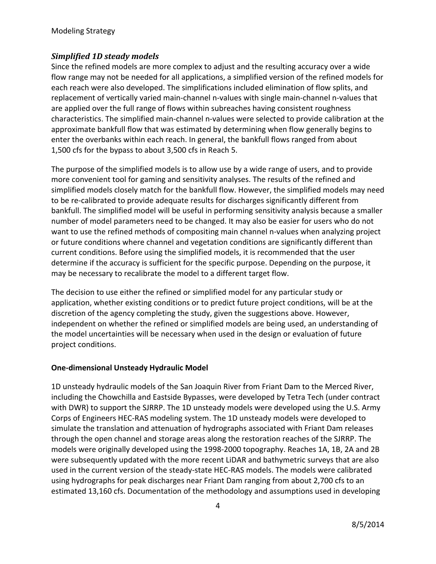### *Simplified 1D steady models*

Since the refined models are more complex to adjust and the resulting accuracy over a wide flow range may not be needed for all applications, a simplified version of the refined models for each reach were also developed. The simplifications included elimination of flow splits, and replacement of vertically varied main‐channel n‐values with single main‐channel n‐values that are applied over the full range of flows within subreaches having consistent roughness characteristics. The simplified main‐channel n‐values were selected to provide calibration at the approximate bankfull flow that was estimated by determining when flow generally begins to enter the overbanks within each reach. In general, the bankfull flows ranged from about 1,500 cfs for the bypass to about 3,500 cfs in Reach 5.

The purpose of the simplified models is to allow use by a wide range of users, and to provide more convenient tool for gaming and sensitivity analyses. The results of the refined and simplified models closely match for the bankfull flow. However, the simplified models may need to be re-calibrated to provide adequate results for discharges significantly different from bankfull. The simplified model will be useful in performing sensitivity analysis because a smaller number of model parameters need to be changed. It may also be easier for users who do not want to use the refined methods of compositing main channel n-values when analyzing project or future conditions where channel and vegetation conditions are significantly different than current conditions. Before using the simplified models, it is recommended that the user determine if the accuracy is sufficient for the specific purpose. Depending on the purpose, it may be necessary to recalibrate the model to a different target flow.

The decision to use either the refined or simplified model for any particular study or application, whether existing conditions or to predict future project conditions, will be at the discretion of the agency completing the study, given the suggestions above. However, independent on whether the refined or simplified models are being used, an understanding of the model uncertainties will be necessary when used in the design or evaluation of future project conditions.

#### **One‐dimensional Unsteady Hydraulic Model**

1D unsteady hydraulic models of the San Joaquin River from Friant Dam to the Merced River, including the Chowchilla and Eastside Bypasses, were developed by Tetra Tech (under contract with DWR) to support the SJRRP. The 1D unsteady models were developed using the U.S. Army Corps of Engineers HEC‐RAS modeling system. The 1D unsteady models were developed to simulate the translation and attenuation of hydrographs associated with Friant Dam releases through the open channel and storage areas along the restoration reaches of the SJRRP. The models were originally developed using the 1998‐2000 topography. Reaches 1A, 1B, 2A and 2B were subsequently updated with the more recent LiDAR and bathymetric surveys that are also used in the current version of the steady‐state HEC‐RAS models. The models were calibrated using hydrographs for peak discharges near Friant Dam ranging from about 2,700 cfs to an estimated 13,160 cfs. Documentation of the methodology and assumptions used in developing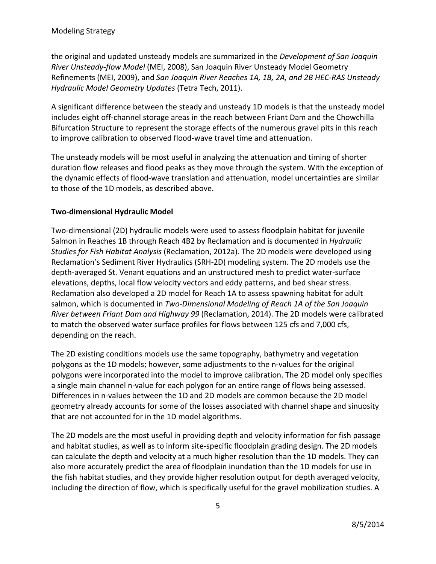the original and updated unsteady models are summarized in the *Development of San Joaquin River Unsteady‐flow Model* (MEI, 2008), San Joaquin River Unsteady Model Geometry Refinements (MEI, 2009), and *San Joaquin River Reaches 1A, 1B, 2A, and 2B HEC‐RAS Unsteady Hydraulic Model Geometry Updates* (Tetra Tech, 2011).

A significant difference between the steady and unsteady 1D models is that the unsteady model includes eight off-channel storage areas in the reach between Friant Dam and the Chowchilla Bifurcation Structure to represent the storage effects of the numerous gravel pits in this reach to improve calibration to observed flood‐wave travel time and attenuation.

The unsteady models will be most useful in analyzing the attenuation and timing of shorter duration flow releases and flood peaks as they move through the system. With the exception of the dynamic effects of flood‐wave translation and attenuation, model uncertainties are similar to those of the 1D models, as described above.

#### **Two‐dimensional Hydraulic Model**

Two-dimensional (2D) hydraulic models were used to assess floodplain habitat for juvenile Salmon in Reaches 1B through Reach 4B2 by Reclamation and is documented in *Hydraulic Studies for Fish Habitat Analysis* (Reclamation, 2012a). The 2D models were developed using Reclamation's Sediment River Hydraulics (SRH‐2D) modeling system. The 2D models use the depth-averaged St. Venant equations and an unstructured mesh to predict water-surface elevations, depths, local flow velocity vectors and eddy patterns, and bed shear stress. Reclamation also developed a 2D model for Reach 1A to assess spawning habitat for adult salmon, which is documented in *Two‐Dimensional Modeling of Reach 1A of the San Joaquin River between Friant Dam and Highway 99* (Reclamation, 2014). The 2D models were calibrated to match the observed water surface profiles for flows between 125 cfs and 7,000 cfs, depending on the reach.

The 2D existing conditions models use the same topography, bathymetry and vegetation polygons as the 1D models; however, some adjustments to the n‐values for the original polygons were incorporated into the model to improve calibration. The 2D model only specifies a single main channel n-value for each polygon for an entire range of flows being assessed. Differences in n‐values between the 1D and 2D models are common because the 2D model geometry already accounts for some of the losses associated with channel shape and sinuosity that are not accounted for in the 1D model algorithms.

The 2D models are the most useful in providing depth and velocity information for fish passage and habitat studies, as well as to inform site‐specific floodplain grading design. The 2D models can calculate the depth and velocity at a much higher resolution than the 1D models. They can also more accurately predict the area of floodplain inundation than the 1D models for use in the fish habitat studies, and they provide higher resolution output for depth averaged velocity, including the direction of flow, which is specifically useful for the gravel mobilization studies. A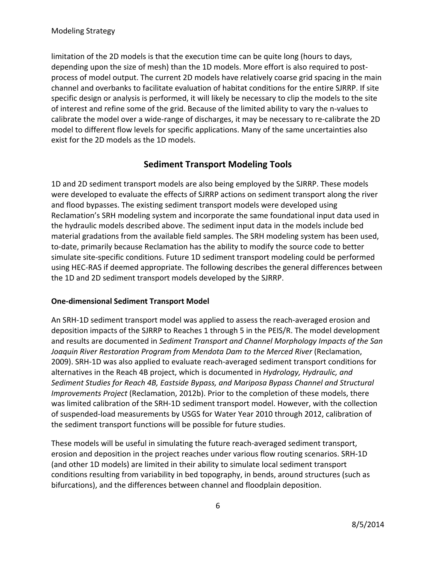limitation of the 2D models is that the execution time can be quite long (hours to days, depending upon the size of mesh) than the 1D models. More effort is also required to post‐ process of model output. The current 2D models have relatively coarse grid spacing in the main channel and overbanks to facilitate evaluation of habitat conditions for the entire SJRRP. If site specific design or analysis is performed, it will likely be necessary to clip the models to the site of interest and refine some of the grid. Because of the limited ability to vary the n‐values to calibrate the model over a wide‐range of discharges, it may be necessary to re‐calibrate the 2D model to different flow levels for specific applications. Many of the same uncertainties also exist for the 2D models as the 1D models.

# **Sediment Transport Modeling Tools**

1D and 2D sediment transport models are also being employed by the SJRRP. These models were developed to evaluate the effects of SJRRP actions on sediment transport along the river and flood bypasses. The existing sediment transport models were developed using Reclamation's SRH modeling system and incorporate the same foundational input data used in the hydraulic models described above. The sediment input data in the models include bed material gradations from the available field samples. The SRH modeling system has been used, to-date, primarily because Reclamation has the ability to modify the source code to better simulate site-specific conditions. Future 1D sediment transport modeling could be performed using HEC‐RAS if deemed appropriate. The following describes the general differences between the 1D and 2D sediment transport models developed by the SJRRP.

#### **One‐dimensional Sediment Transport Model**

An SRH‐1D sediment transport model was applied to assess the reach‐averaged erosion and deposition impacts of the SJRRP to Reaches 1 through 5 in the PEIS/R. The model development and results are documented in *Sediment Transport and Channel Morphology Impacts of the San Joaquin River Restoration Program from Mendota Dam to the Merced River* (Reclamation, 2009). SRH‐1D was also applied to evaluate reach‐averaged sediment transport conditions for alternatives in the Reach 4B project, which is documented in *Hydrology, Hydraulic, and Sediment Studies for Reach 4B, Eastside Bypass, and Mariposa Bypass Channel and Structural Improvements Project* (Reclamation, 2012b). Prior to the completion of these models, there was limited calibration of the SRH‐1D sediment transport model. However, with the collection of suspended‐load measurements by USGS for Water Year 2010 through 2012, calibration of the sediment transport functions will be possible for future studies.

These models will be useful in simulating the future reach‐averaged sediment transport, erosion and deposition in the project reaches under various flow routing scenarios. SRH‐1D (and other 1D models) are limited in their ability to simulate local sediment transport conditions resulting from variability in bed topography, in bends, around structures (such as bifurcations), and the differences between channel and floodplain deposition.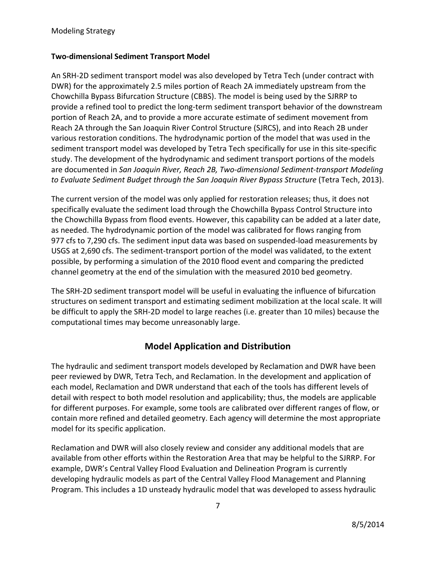#### **Two‐dimensional Sediment Transport Model**

An SRH‐2D sediment transport model was also developed by Tetra Tech (under contract with DWR) for the approximately 2.5 miles portion of Reach 2A immediately upstream from the Chowchilla Bypass Bifurcation Structure (CBBS). The model is being used by the SJRRP to provide a refined tool to predict the long‐term sediment transport behavior of the downstream portion of Reach 2A, and to provide a more accurate estimate of sediment movement from Reach 2A through the San Joaquin River Control Structure (SJRCS), and into Reach 2B under various restoration conditions. The hydrodynamic portion of the model that was used in the sediment transport model was developed by Tetra Tech specifically for use in this site-specific study. The development of the hydrodynamic and sediment transport portions of the models are documented in *San Joaquin River, Reach 2B, Two‐dimensional Sediment‐transport Modeling to Evaluate Sediment Budget through the San Joaquin River Bypass Structure* (Tetra Tech, 2013).

The current version of the model was only applied for restoration releases; thus, it does not specifically evaluate the sediment load through the Chowchilla Bypass Control Structure into the Chowchilla Bypass from flood events. However, this capability can be added at a later date, as needed. The hydrodynamic portion of the model was calibrated for flows ranging from 977 cfs to 7,290 cfs. The sediment input data was based on suspended‐load measurements by USGS at 2,690 cfs. The sediment‐transport portion of the model was validated, to the extent possible, by performing a simulation of the 2010 flood event and comparing the predicted channel geometry at the end of the simulation with the measured 2010 bed geometry.

The SRH‐2D sediment transport model will be useful in evaluating the influence of bifurcation structures on sediment transport and estimating sediment mobilization at the local scale. It will be difficult to apply the SRH‐2D model to large reaches (i.e. greater than 10 miles) because the computational times may become unreasonably large.

# **Model Application and Distribution**

The hydraulic and sediment transport models developed by Reclamation and DWR have been peer reviewed by DWR, Tetra Tech, and Reclamation. In the development and application of each model, Reclamation and DWR understand that each of the tools has different levels of detail with respect to both model resolution and applicability; thus, the models are applicable for different purposes. For example, some tools are calibrated over different ranges of flow, or contain more refined and detailed geometry. Each agency will determine the most appropriate model for its specific application.

Reclamation and DWR will also closely review and consider any additional models that are available from other efforts within the Restoration Area that may be helpful to the SJRRP. For example, DWR's Central Valley Flood Evaluation and Delineation Program is currently developing hydraulic models as part of the Central Valley Flood Management and Planning Program. This includes a 1D unsteady hydraulic model that was developed to assess hydraulic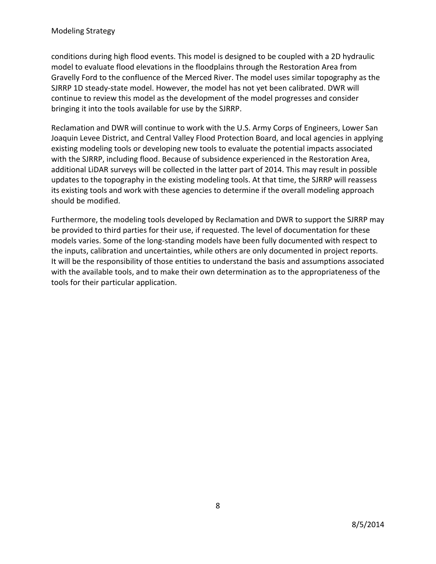conditions during high flood events. This model is designed to be coupled with a 2D hydraulic model to evaluate flood elevations in the floodplains through the Restoration Area from Gravelly Ford to the confluence of the Merced River. The model uses similar topography as the SJRRP 1D steady‐state model. However, the model has not yet been calibrated. DWR will continue to review this model as the development of the model progresses and consider bringing it into the tools available for use by the SJRRP.

Reclamation and DWR will continue to work with the U.S. Army Corps of Engineers, Lower San Joaquin Levee District, and Central Valley Flood Protection Board, and local agencies in applying existing modeling tools or developing new tools to evaluate the potential impacts associated with the SJRRP, including flood. Because of subsidence experienced in the Restoration Area, additional LiDAR surveys will be collected in the latter part of 2014. This may result in possible updates to the topography in the existing modeling tools. At that time, the SJRRP will reassess its existing tools and work with these agencies to determine if the overall modeling approach should be modified.

Furthermore, the modeling tools developed by Reclamation and DWR to support the SJRRP may be provided to third parties for their use, if requested. The level of documentation for these models varies. Some of the long‐standing models have been fully documented with respect to the inputs, calibration and uncertainties, while others are only documented in project reports. It will be the responsibility of those entities to understand the basis and assumptions associated with the available tools, and to make their own determination as to the appropriateness of the tools for their particular application.